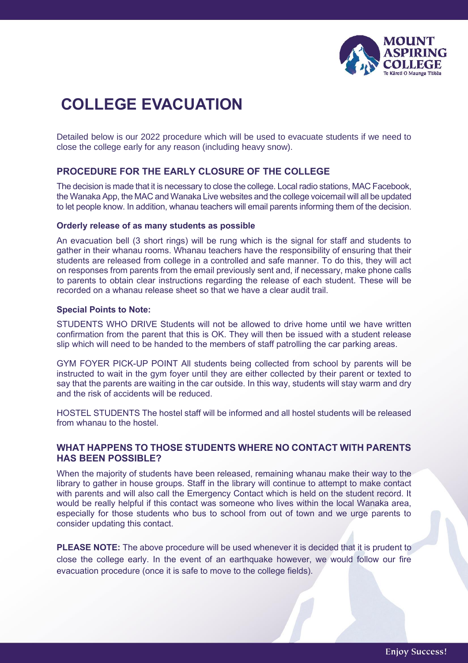

# **COLLEGE EVACUATION**

Detailed below is our 2022 procedure which will be used to evacuate students if we need to close the college early for any reason (including heavy snow).

## **PROCEDURE FOR THE EARLY CLOSURE OF THE COLLEGE**

The decision is made that it is necessary to close the college. Local radio stations, MAC Facebook, the Wanaka App, the MAC and Wanaka Live websites and the college voicemail will all be updated to let people know. In addition, whanau teachers will email parents informing them of the decision.

#### **Orderly release of as many students as possible**

An evacuation bell (3 short rings) will be rung which is the signal for staff and students to gather in their whanau rooms. Whanau teachers have the responsibility of ensuring that their students are released from college in a controlled and safe manner. To do this, they will act on responses from parents from the email previously sent and, if necessary, make phone calls to parents to obtain clear instructions regarding the release of each student. These will be recorded on a whanau release sheet so that we have a clear audit trail.

#### **Special Points to Note:**

STUDENTS WHO DRIVE Students will not be allowed to drive home until we have written confirmation from the parent that this is OK. They will then be issued with a student release slip which will need to be handed to the members of staff patrolling the car parking areas.

GYM FOYER PICK-UP POINT All students being collected from school by parents will be instructed to wait in the gym foyer until they are either collected by their parent or texted to say that the parents are waiting in the car outside. In this way, students will stay warm and dry and the risk of accidents will be reduced.

HOSTEL STUDENTS The hostel staff will be informed and all hostel students will be released from whanau to the hostel.

## **WHAT HAPPENS TO THOSE STUDENTS WHERE NO CONTACT WITH PARENTS HAS BEEN POSSIBLE?**

When the majority of students have been released, remaining whanau make their way to the library to gather in house groups. Staff in the library will continue to attempt to make contact with parents and will also call the Emergency Contact which is held on the student record. It would be really helpful if this contact was someone who lives within the local Wanaka area, especially for those students who bus to school from out of town and we urge parents to consider updating this contact.

**PLEASE NOTE:** The above procedure will be used whenever it is decided that it is prudent to close the college early. In the event of an earthquake however, we would follow our fire evacuation procedure (once it is safe to move to the college fields).